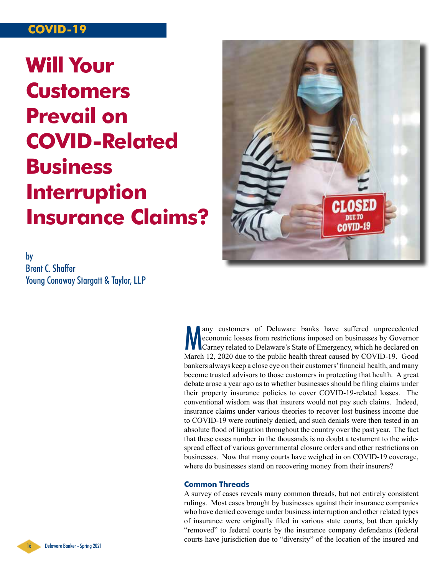## **COVID-19**

# **Will Your Customers Prevail on COVID-Related Business Interruption Insurance Claims?**

by Brent C. Shaffer Young Conaway Stargatt & Taylor, LLP



Many customers of Delaware banks have suffered unprecedented<br>economic losses from restrictions imposed on businesses by Governor<br>Carney related to Delaware's State of Emergency, which he declared on<br>Marsh 12, 2020 due to t any customers of Delaware banks have suffered unprecedented economic losses from restrictions imposed on businesses by Governor March 12, 2020 due to the public health threat caused by COVID-19. Good bankers always keep a close eye on their customers' financial health, and many become trusted advisors to those customers in protecting that health. A great debate arose a year ago as to whether businesses should be filing claims under their property insurance policies to cover COVID-19-related losses. The conventional wisdom was that insurers would not pay such claims. Indeed, insurance claims under various theories to recover lost business income due to COVID-19 were routinely denied, and such denials were then tested in an absolute flood of litigation throughout the country over the past year. The fact that these cases number in the thousands is no doubt a testament to the widespread effect of various governmental closure orders and other restrictions on businesses. Now that many courts have weighed in on COVID-19 coverage, where do businesses stand on recovering money from their insurers?

#### **Common Threads**

A survey of cases reveals many common threads, but not entirely consistent rulings. Most cases brought by businesses against their insurance companies who have denied coverage under business interruption and other related types of insurance were originally filed in various state courts, but then quickly "removed" to federal courts by the insurance company defendants (federal courts have jurisdiction due to "diversity" of the location of the insured and

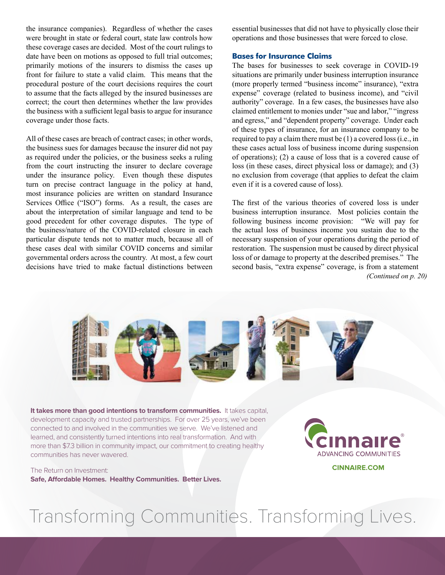the insurance companies). Regardless of whether the cases were brought in state or federal court, state law controls how these coverage cases are decided. Most of the court rulings to date have been on motions as opposed to full trial outcomes; primarily motions of the insurers to dismiss the cases up front for failure to state a valid claim. This means that the procedural posture of the court decisions requires the court to assume that the facts alleged by the insured businesses are correct; the court then determines whether the law provides the business with a sufficient legal basis to argue for insurance coverage under those facts.

All of these cases are breach of contract cases; in other words, the business sues for damages because the insurer did not pay as required under the policies, or the business seeks a ruling from the court instructing the insurer to declare coverage under the insurance policy. Even though these disputes turn on precise contract language in the policy at hand, most insurance policies are written on standard Insurance Services Office ("ISO") forms. As a result, the cases are about the interpretation of similar language and tend to be good precedent for other coverage disputes. The type of the business/nature of the COVID-related closure in each particular dispute tends not to matter much, because all of these cases deal with similar COVID concerns and similar governmental orders across the country. At most, a few court decisions have tried to make factual distinctions between essential businesses that did not have to physically close their operations and those businesses that were forced to close.

#### **Bases for Insurance Claims**

The bases for businesses to seek coverage in COVID-19 situations are primarily under business interruption insurance (more properly termed "business income" insurance), "extra expense" coverage (related to business income), and "civil authority" coverage. In a few cases, the businesses have also claimed entitlement to monies under "sue and labor," "ingress and egress," and "dependent property" coverage. Under each of these types of insurance, for an insurance company to be required to pay a claim there must be (1) a covered loss (i.e., in these cases actual loss of business income during suspension of operations); (2) a cause of loss that is a covered cause of loss (in these cases, direct physical loss or damage); and (3) no exclusion from coverage (that applies to defeat the claim even if it is a covered cause of loss).

The first of the various theories of covered loss is under business interruption insurance. Most policies contain the following business income provision: "We will pay for the actual loss of business income you sustain due to the necessary suspension of your operations during the period of restoration. The suspension must be caused by direct physical loss of or damage to property at the described premises." The second basis, "extra expense" coverage, is from a statement *(Continued on p. 20)*



**It takes more than good intentions to transform communities.** It takes capital, development capacity and trusted partnerships. For over 25 years, we've been connected to and involved in the communities we serve. We've listened and learned, and consistently turned intentions into real transformation. And with more than \$7.3 billion in community impact, our commitment to creating healthy communities has never wavered.

The Return on Investment: **Safe, Affordable Homes. Healthy Communities. Better Lives.** **ADVANCING COMMUNITIES** 

**CINNAIRE.COM**

# Transforming Communities. Transforming Lives.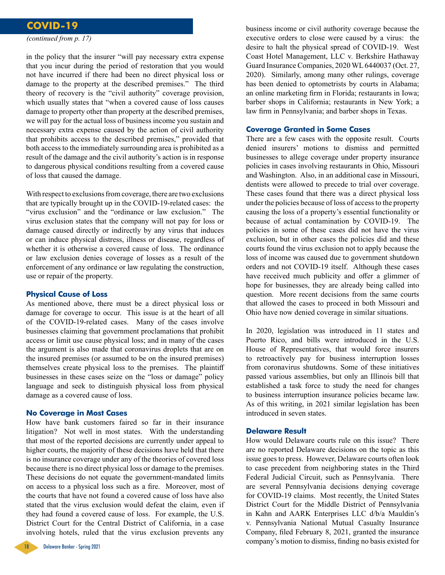### **COVID-19**

*(continued from p. 17)*

in the policy that the insurer "will pay necessary extra expense that you incur during the period of restoration that you would not have incurred if there had been no direct physical loss or damage to the property at the described premises." The third theory of recovery is the "civil authority" coverage provision, which usually states that "when a covered cause of loss causes damage to property other than property at the described premises, we will pay for the actual loss of business income you sustain and necessary extra expense caused by the action of civil authority that prohibits access to the described premises," provided that both access to the immediately surrounding area is prohibited as a result of the damage and the civil authority's action is in response to dangerous physical conditions resulting from a covered cause of loss that caused the damage.

With respect to exclusions from coverage, there are two exclusions that are typically brought up in the COVID-19-related cases: the "virus exclusion" and the "ordinance or law exclusion." The virus exclusion states that the company will not pay for loss or damage caused directly or indirectly by any virus that induces or can induce physical distress, illness or disease, regardless of whether it is otherwise a covered cause of loss. The ordinance or law exclusion denies coverage of losses as a result of the enforcement of any ordinance or law regulating the construction, use or repair of the property.

#### **Physical Cause of Loss**

As mentioned above, there must be a direct physical loss or damage for coverage to occur. This issue is at the heart of all of the COVID-19-related cases. Many of the cases involve businesses claiming that government proclamations that prohibit access or limit use cause physical loss; and in many of the cases the argument is also made that coronavirus droplets that are on the insured premises (or assumed to be on the insured premises) themselves create physical loss to the premises. The plaintiff businesses in these cases seize on the "loss or damage" policy language and seek to distinguish physical loss from physical damage as a covered cause of loss.

#### **No Coverage in Most Cases**

How have bank customers faired so far in their insurance litigation? Not well in most states. With the understanding that most of the reported decisions are currently under appeal to higher courts, the majority of these decisions have held that there is no insurance coverage under any of the theories of covered loss because there is no direct physical loss or damage to the premises. These decisions do not equate the government-mandated limits on access to a physical loss such as a fire. Moreover, most of the courts that have not found a covered cause of loss have also stated that the virus exclusion would defeat the claim, even if they had found a covered cause of loss. For example, the U.S. District Court for the Central District of California, in a case involving hotels, ruled that the virus exclusion prevents any



business income or civil authority coverage because the executive orders to close were caused by a virus: the desire to halt the physical spread of COVID-19. West Coast Hotel Management, LLC v. Berkshire Hathaway Guard Insurance Companies, 2020 WL 6440037 (Oct. 27, 2020). Similarly, among many other rulings, coverage has been denied to optometrists by courts in Alabama; an online marketing firm in Florida; restaurants in Iowa; barber shops in California; restaurants in New York; a law firm in Pennsylvania; and barber shops in Texas.

#### **Coverage Granted in Some Cases**

There are a few cases with the opposite result. Courts denied insurers' motions to dismiss and permitted businesses to allege coverage under property insurance policies in cases involving restaurants in Ohio, Missouri and Washington. Also, in an additional case in Missouri, dentists were allowed to precede to trial over coverage. These cases found that there was a direct physical loss under the policies because of loss of access to the property causing the loss of a property's essential functionality or because of actual contamination by COVID-19. The policies in some of these cases did not have the virus exclusion, but in other cases the policies did and these courts found the virus exclusion not to apply because the loss of income was caused due to government shutdown orders and not COVID-19 itself. Although these cases have received much publicity and offer a glimmer of hope for businesses, they are already being called into question. More recent decisions from the same courts that allowed the cases to proceed in both Missouri and Ohio have now denied coverage in similar situations.

In 2020, legislation was introduced in 11 states and Puerto Rico, and bills were introduced in the U.S. House of Representatives, that would force insurers to retroactively pay for business interruption losses from coronavirus shutdowns. Some of these initiatives passed various assemblies, but only an Illinois bill that established a task force to study the need for changes to business interruption insurance policies became law. As of this writing, in 2021 similar legislation has been introduced in seven states.

#### **Delaware Result**

How would Delaware courts rule on this issue? There are no reported Delaware decisions on the topic as this issue goes to press. However, Delaware courts often look to case precedent from neighboring states in the Third Federal Judicial Circuit, such as Pennsylvania. There are several Pennsylvania decisions denying coverage for COVID-19 claims. Most recently, the United States District Court for the Middle District of Pennsylvania in Kahn and AARK Enterprises LLC d/b/a Mauldin's v. Pennsylvania National Mutual Casualty Insurance Company, filed February 8, 2021, granted the insurance company's motion to dismiss, finding no basis existed for